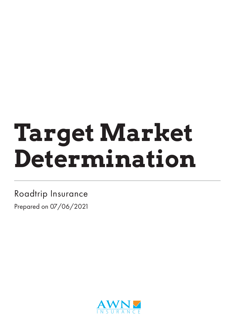# **Target Market Determination**

Roadtrip Insurance Prepared on 07/06/2021

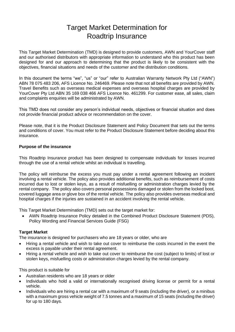# Target Market Determination for Roadtrip Insurance

This Target Market Determination (TMD) is designed to provide customers, AWN and YourCover staff and our authorised distributors with appropriate information to understand who this product has been designed for and our approach to determining that the product is likely to be consistent with the objectives, financial situations and needs of the customer and the distribution conditions.

In this document the terms "we", "us" or "our" refer to Australian Warranty Network Pty Ltd ("AWN") ABN 78 075 483 206, AFS Licence No. 246469. Please note that not all benefits are provided by AWN. Travel Benefits such as overseas medical expenses and overseas hospital charges are provided by YourCover Pty Ltd ABN 35 169 038 466 AFS Licence No. 461299. For customer ease, all sales, claim and complaints enquiries will be administrated by AWN.

This TMD does not consider any person's individual needs, objectives or financial situation and does not provide financial product advice or recommendation on the cover.

Please note, that it is the Product Disclosure Statement and Policy Document that sets out the terms and conditions of cover. You must refer to the Product Disclosure Statement before deciding about this insurance.

#### **Purpose of the insurance**

This Roadtrip Insurance product has been designed to compensate individuals for losses incurred through the use of a rental vehicle whilst an individual is travelling.

The policy will reimburse the excess you must pay under a rental agreement following an incident involving a rental vehicle. The policy also provides additional benefits, such as reimbursement of costs incurred due to lost or stolen keys, as a result of misfuelling or administration charges levied by the rental company. The policy also covers personal possessions damaged or stolen from the locked boot, covered luggage area or glove box of the rental vehicle. The policy also provides overseas medical and hospital charges if the injuries are sustained in an accident involving the rental vehicle.

This Target Market Determination (TMD) sets out the target market for:

• AWN Roadtrip Insurance Policy detailed in the Combined Product Disclosure Statement (PDS), Policy Wording and Financial Services Guide (FSG)

#### **Target Market**

The insurance is designed for purchasers who are 18 years or older, who are

- Hiring a rental vehicle and wish to take out cover to reimburse the costs incurred in the event the excess is payable under their rental agreement.
- Hiring a rental vehicle and wish to take out cover to reimburse the cost (subject to limits) of lost or stolen keys, misfuelling costs or administration charges levied by the rental company.

This product is suitable for

- Australian residents who are 18 years or older
- Individuals who hold a valid or internationally recognised driving license or permit for a rental vehicle.
- Individuals who are hiring a rental car with a maximum of 9 seats (including the driver), or a minibus with a maximum gross vehicle weight of 7.5 tonnes and a maximum of 15 seats (including the driver) for up to 180 days.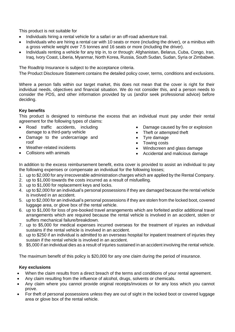This product is not suitable for

- Individuals hiring a rental vehicle for a safari or an off-road adventure trail.
- Individuals who are hiring a rental car with 10 seats or more (including the driver), or a minibus with a gross vehicle weight over 7.5 tonnes and 16 seats or more (including the driver).
- Individuals renting a vehicle for any trip in, to or through: Afghanistan, Belarus, Cuba, Congo, Iran, Iraq, Ivory Coast, Liberia, Myanmar, North Korea, Russia, South Sudan, Sudan, Syria or Zimbabwe.

The Roadtrip Insurance is subject to the acceptance criteria.

The Product Disclosure Statement contains the detailed policy cover, terms, conditions and exclusions.

Where a person falls within our target market, this does not mean that the cover is right for their individual needs, objectives and financial situation. We do not consider this, and a person needs to consider the PDS, and other information provided by us (and/or seek professional advice) before deciding.

## **Key benefits**

This product is designed to reimburse the excess that an individual must pay under their rental agreement for the following types of claims:

- Road traffic accidents, including damage to a third-party vehicle
- Damage to the undercarriage and roof
- Weather-related incidents
- Collisions with animals
- Damage caused by fire or explosion
- Theft or attempted theft
- Tyre damage
- 
- Towing costs<br>• Windscreen a • Windscreen and glass damage
- Accidental and malicious damage

In addition to the excess reimbursement benefit, extra cover is provided to assist an individual to pay the following expenses or compensate an individual for the following losses;

- 1. up to \$2,000 for any irrecoverable administration charges which are applied by the Rental Company.
- 2. up to \$1,000 towards the costs incurred as a result of misfuelling.
- 3. up to \$1,000 for replacement keys and locks.
- 4. up to \$2,000 for an individual's personal possessions if they are damaged because the rental vehicle is involved in an accident.
- 5. up to \$2,000 for an individual's personal possessions if they are stolen from the locked boot, covered luggage area, or glove box of the rental vehicle.
- 6. up to \$1,000 for loss of pre-booked travel arrangements which are forfeited and/or additional travel arrangements which are required because the rental vehicle is involved in an accident, stolen or suffers mechanical failure/breakdown.
- 7. up to \$5,000 for medical expenses incurred overseas for the treatment of injuries an individual sustains if the rental vehicle is involved in an accident.
- 8. up to \$250 if an individual is admitted to an overseas hospital for inpatient treatment of injuries they sustain if the rental vehicle is involved in an accident.
- 9. \$5,000 if an individual dies as a result of injuries sustained in an accident involving the rental vehicle.

The maximum benefit of this policy is \$20,000 for any one claim during the period of insurance.

## **Key exclusions**

- When the claim results from a direct breach of the terms and conditions of your rental agreement.
- Any claim resulting from the influence of alcohol, drugs, solvents or chemicals.
- Any claim where you cannot provide original receipts/invoices or for any loss which you cannot prove.
- For theft of personal possessions unless they are out of sight in the locked boot or covered luggage area or glove box of the rental vehicle.